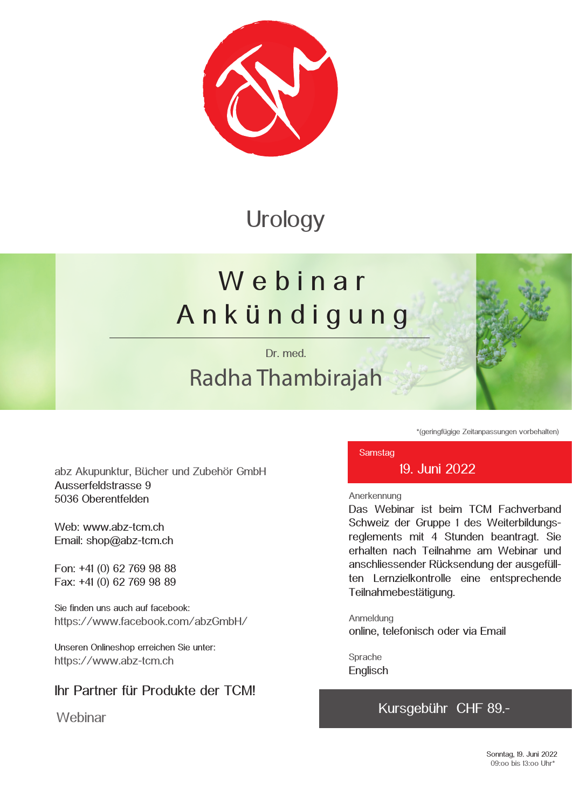

### **Urology**

# We b i n a r A n k ü n d i g u n g

Dr. med.

## Radha Thambirajah



\*(geringfügige Zeitanpassungen vorbehalten)

**Samstag** 

19. Juni 2022

#### Anerkennung

Das Webinar ist beim TCM Fachverband Schweiz der Gruppe 1 des Weiterbildungsreglements mit 4 Stunden beantragt. Sie erhalten nach Teilnahme am Webinar und anschliessender Rücksendung der ausgefüllten Lernzielkontrolle eine entsprechende Teilnahmebestätigung.

Anmeldung online, telefonisch oder via Email

Sprache **Englisch** 

#### Kursgebühr CHF 89.-

abz Akupunktur, Bücher und Zubehör GmbH Ausserfeldstrasse 9 5036 Oberentfelden

Web: www.abz-tcm.ch Email: shop@abz-tcm.ch

Fon: +41 (0) 62 769 98 88 Fax: +41 (0) 62 769 98 89

Sie finden uns auch auf facebook: https://www.facebook.com/abzGmbH/

Unseren Onlineshop erreichen Sie unter: https://www.abz-tcm.ch

### Ihr Partner für Produkte der TCM!

**Webinar**